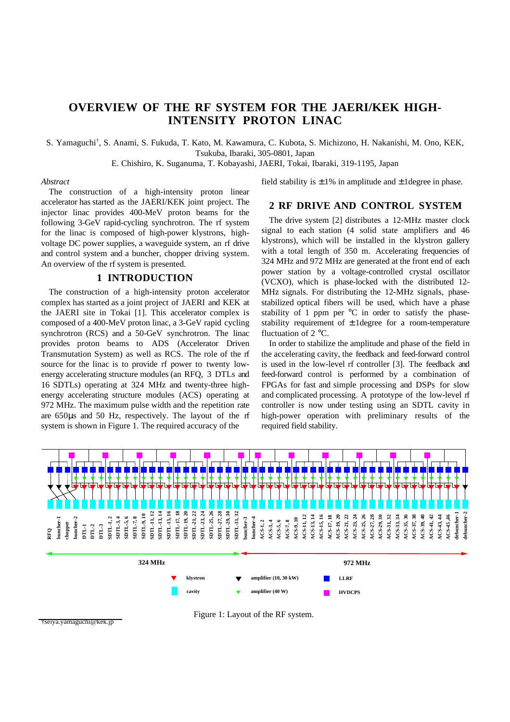# **OVERVIEW OF THE RF SYSTEM FOR THE JAERI/KEK HIGH-INTENSITY PROTON LINAC**

S. Yamaguchi† , S. Anami, S. Fukuda, T. Kato, M. Kawamura, C. Kubota, S. Michizono, H. Nakanishi, M. Ono, KEK, Tsukuba, Ibaraki, 305-0801, Japan

E. Chishiro, K. Suganuma, T. Kobayashi, JAERI, Tokai, Ibaraki, 319-1195, Japan

#### *Abstract*

The construction of a high-intensity proton linear accelerator has started as the JAERI/KEK joint project. The injector linac provides 400-MeV proton beams for the following 3-GeV rapid-cycling synchrotron. The rf system for the linac is composed of high-power klystrons, highvoltage DC power supplies, a waveguide system, an rf drive and control system and a buncher, chopper driving system. An overview of the rf system is presented.

### **1 INTRODUCTION**

The construction of a high-intensity proton accelerator complex has started as a joint project of JAERI and KEK at the JAERI site in Tokai [1]. This accelerator complex is composed of a 400-MeV proton linac, a 3-GeV rapid cycling synchrotron (RCS) and a 50-GeV synchrotron. The linac provides proton beams to ADS (Accelerator Driven Transmutation System) as well as RCS. The role of the rf source for the linac is to provide rf power to twenty lowenergy accelerating structure modules (an RFQ, 3 DTLs and 16 SDTLs) operating at 324 MHz and twenty-three highenergy accelerating structure modules (ACS) operating at 972 MHz. The maximum pulse width and the repetition rate are 650µs and 50 Hz, respectively. The layout of the rf system is shown in Figure 1. The required accuracy of the

#### field stability is  $\pm 1\%$  in amplitude and  $\pm 1$  degree in phase.

#### **2 RF DRIVE AND CONTROL SYSTEM**

The drive system [2] distributes a 12-MHz master clock signal to each station (4 solid state amplifiers and 46 klystrons), which will be installed in the klystron gallery with a total length of 350 m. Accelerating frequencies of 324 MHz and 972 MHz are generated at the front end of each power station by a voltage-controlled crystal oscillator (VCXO), which is phase-locked with the distributed 12- MHz signals. For distributing the 12-MHz signals, phasestabilized optical fibers will be used, which have a phase stability of 1 ppm per  $\mathrm{C}$  in order to satisfy the phasestability requirement of  $\pm$  1 degree for a room-temperature fluctuation of 2 °C.

In order to stabilize the amplitude and phase of the field in the accelerating cavity, the feedback and feed-forward control is used in the low-level rf controller [3]. The feedback and feed-forward control is performed by a combination of FPGAs for fast and simple processing and DSPs for slow and complicated processing. A prototype of the low-level rf controller is now under testing using an SDTL cavity in high-power operation with preliminary results of the required field stability.



Figure 1: Layout of the RF system.

†seiya.yamaguchi@kek.jp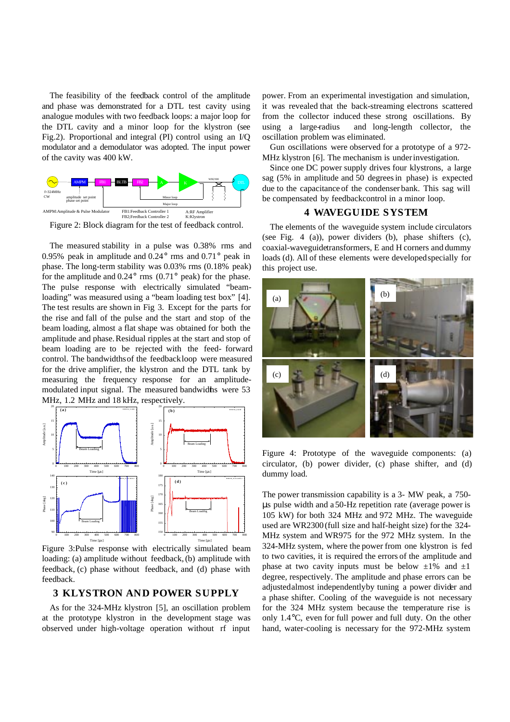The feasibility of the feedback control of the amplitude and phase was demonstrated for a DTL test cavity using analogue modules with two feedback loops: a major loop for the DTL cavity and a minor loop for the klystron (see Fig.2). Proportional and integral (PI) control using an I/Q modulator and a demodulator was adopted. The input power of the cavity was 400 kW.



Figure 2: Block diagram for the test of feedback control.

The measured stability in a pulse was 0.38% rms and 0.95% peak in amplitude and 0.24° rms and 0.71° peak in phase. The long-term stability was 0.03% rms (0.18% peak) for the amplitude and  $0.24^{\circ}$  rms  $(0.71^{\circ}$  peak) for the phase. The pulse response with electrically simulated "beamloading" was measured using a "beam loading test box" [4]. The test results are shown in Fig 3. Except for the parts for the rise and fall of the pulse and the start and stop of the beam loading, almost a flat shape was obtained for both the amplitude and phase. Residual ripples at the start and stop of beam loading are to be rejected with the feed- forward control. The bandwidths of the feedback loop were measured for the drive amplifier, the klystron and the DTL tank by measuring the frequency response for an amplitudemodulated input signal. The measured bandwidths were 53 MHz, 1.2 MHz and 18 kHz, respectively.



Figure 3:Pulse response with electrically simulated beam loading: (a) amplitude without feedback, (b) amplitude with feedback, (c) phase without feedback, and (d) phase with feedback.

#### **3 KLYSTRON AND POWER SUPPLY**

As for the 324-MHz klystron [5], an oscillation problem at the prototype klystron in the development stage was observed under high-voltage operation without rf input power. From an experimental investigation and simulation, it was revealed that the back-streaming electrons scattered from the collector induced these strong oscillations. By using a large-radius and long-length collector, the oscillation problem was eliminated.

Gun oscillations were observed for a prototype of a 972- MHz klystron [6]. The mechanism is under investigation.

Since one DC power supply drives four klystrons, a large sag (5% in amplitude and 50 degrees in phase) is expected due to the capacitance of the condenser bank. This sag will be compensated by feedback control in a minor loop.

## **4 WAVEGUIDE SYSTEM**

The elements of the waveguide system include circulators (see Fig. 4 (a)), power dividers (b), phase shifters (c), coaxial-waveguide transformers, E and H corners and dummy loads (d). All of these elements were developed specially for this project use.



Figure 4: Prototype of the waveguide components: (a) circulator, (b) power divider, (c) phase shifter, and (d) dummy load.

The power transmission capability is a 3- MW peak, a 750 µs pulse width and a 50-Hz repetition rate (average power is 105 kW) for both 324 MHz and 972 MHz. The waveguide used are WR2300 (full size and half-height size) for the 324- MHz system and WR975 for the 972 MHz system. In the 324-MHz system, where the power from one klystron is fed to two cavities, it is required the errors of the amplitude and phase at two cavity inputs must be below  $\pm 1\%$  and  $\pm 1$ degree, respectively. The amplitude and phase errors can be adjusted almost independently by tuning a power divider and a phase shifter. Cooling of the waveguide is not necessary for the 324 MHz system because the temperature rise is only 1.4°C, even for full power and full duty. On the other hand, water-cooling is necessary for the 972-MHz system